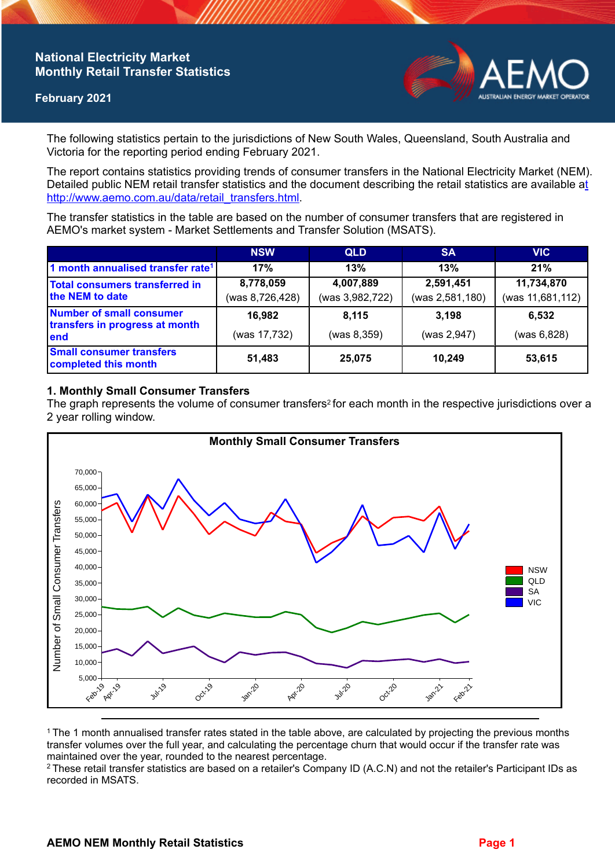# **National Electricity Market Monthly Retail Transfer Statistics**

### **February 2021**



The following statistics pertain to the jurisdictions of New South Wales, Queensland, South Australia and Victoria for the reporting period ending February 2021.

The report contains statistics providing trends of consumer transfers in the National Electricity Market (NEM). Detailed public NEM retail transfer statistics and the document describing the retail statistics are available a[t](http://www.aemo.com.au/data/retail_transfers.html)  http://www.aemo.com.au/data/retail\_transfers.html

The transfer statistics in the table are based on the number of consumer transfers that are registered in AEMO's market system - Market Settlements and Transfer Solution (MSATS).

|                                                                           | <b>NSW</b>      | <b>QLD</b>      | <b>SA</b>       | <b>VIC</b>       |
|---------------------------------------------------------------------------|-----------------|-----------------|-----------------|------------------|
| 1 month annualised transfer rate <sup>1</sup>                             | 17%             | 13%             | 13%             | 21%              |
| Total consumers transferred in<br>the NEM to date                         | 8,778,059       | 4,007,889       | 2,591,451       | 11,734,870       |
|                                                                           | (was 8,726,428) | (was 3,982,722) | (was 2,581,180) | (was 11,681,112) |
| <b>Number of small consumer</b><br>transfers in progress at month<br>lend | 16,982          | 8,115           | 3.198           | 6,532            |
|                                                                           | (was 17,732)    | (was 8, 359)    | (was 2,947)     | (was 6,828)      |
| <b>Small consumer transfers</b><br>completed this month                   | 51,483          | 25,075          | 10.249          | 53,615           |

## **1. Monthly Small Consumer Transfers**

The graph represents the volume of consumer transfers<sup>2</sup> for each month in the respective jurisdictions over a 2 year rolling window.



<sup>1</sup>The 1 month annualised transfer rates stated in the table above, are calculated by projecting the previous months transfer volumes over the full year, and calculating the percentage churn that would occur if the transfer rate was maintained over the year, rounded to the nearest percentage.

<sup>2</sup> These retail transfer statistics are based on a retailer's Company ID (A.C.N) and not the retailer's Participant IDs as recorded in MSATS.